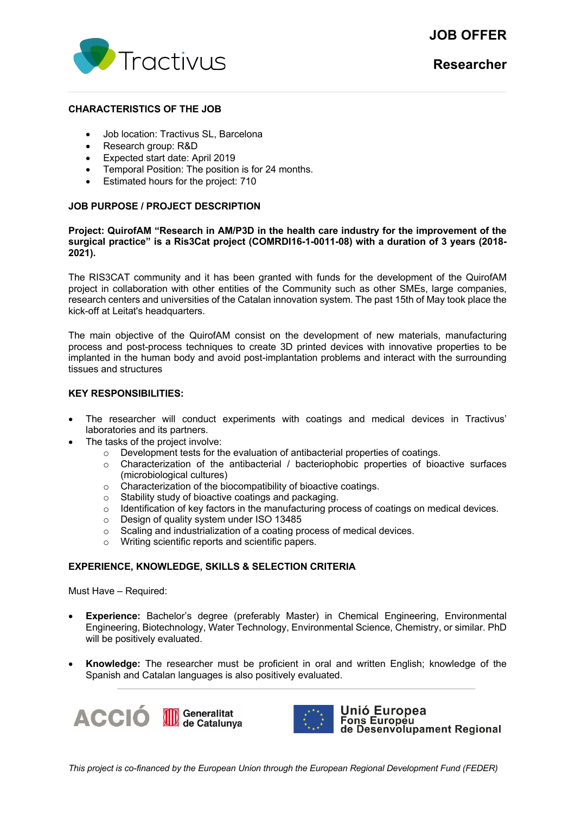# **JOB OFFER**



#### **CHARACTERISTICS OF THE JOB**

- Job location: Tractivus SL, Barcelona
- Research group: R&D
- Expected start date: April 2019
- Temporal Position: The position is for 24 months.
- Estimated hours for the project: 710

# **JOB PURPOSE / PROJECT DESCRIPTION**

#### **Project: QuirofAM "Research in AM/P3D in the health care industry for the improvement of the surgical practice" is a Ris3Cat project (COMRDI16-1-0011-08) with a duration of 3 years (2018- 2021).**

The RIS3CAT community and it has been granted with funds for the development of the QuirofAM project in collaboration with other entities of the Community such as other SMEs, large companies, research centers and universities of the Catalan innovation system. The past 15th of May took place the kick-off at Leitat's headquarters.

The main objective of the QuirofAM consist on the development of new materials, manufacturing process and post-process techniques to create 3D printed devices with innovative properties to be implanted in the human body and avoid post-implantation problems and interact with the surrounding tissues and structures

# **KEY RESPONSIBILITIES:**

- The researcher will conduct experiments with coatings and medical devices in Tractivus' laboratories and its partners.
- The tasks of the project involve:
	- $\circ$  Development tests for the evaluation of antibacterial properties of coatings.
	- $\circ$  Characterization of the antibacterial / bacteriophobic properties of bioactive surfaces (microbiological cultures)
	- o Characterization of the biocompatibility of bioactive coatings.
	-
	- o Stability study of bioactive coatings and packaging.<br>
	o Identification of key factors in the manufacturing pro o Identification of key factors in the manufacturing process of coatings on medical devices.<br>  $\circ$  Design of quality system under ISO 13485
	-
	- Design of quality system under ISO 13485<br>○ Scaling and industrialization of a coating or Scaling and industrialization of a coating process of medical devices.
	- o Writing scientific reports and scientific papers.

#### **EXPERIENCE, KNOWLEDGE, SKILLS & SELECTION CRITERIA**

Must Have – Required:

- **Experience:** Bachelor's degree (preferably Master) in Chemical Engineering, Environmental Engineering, Biotechnology, Water Technology, Environmental Science, Chemistry, or similar. PhD will be positively evaluated.
- **Knowledge:** The researcher must be proficient in oral and written English; knowledge of the Spanish and Catalan languages is also positively evaluated.





Unió Europea Fons Europeu<br>Tons Europeu<br>de Desenvolupament Regional